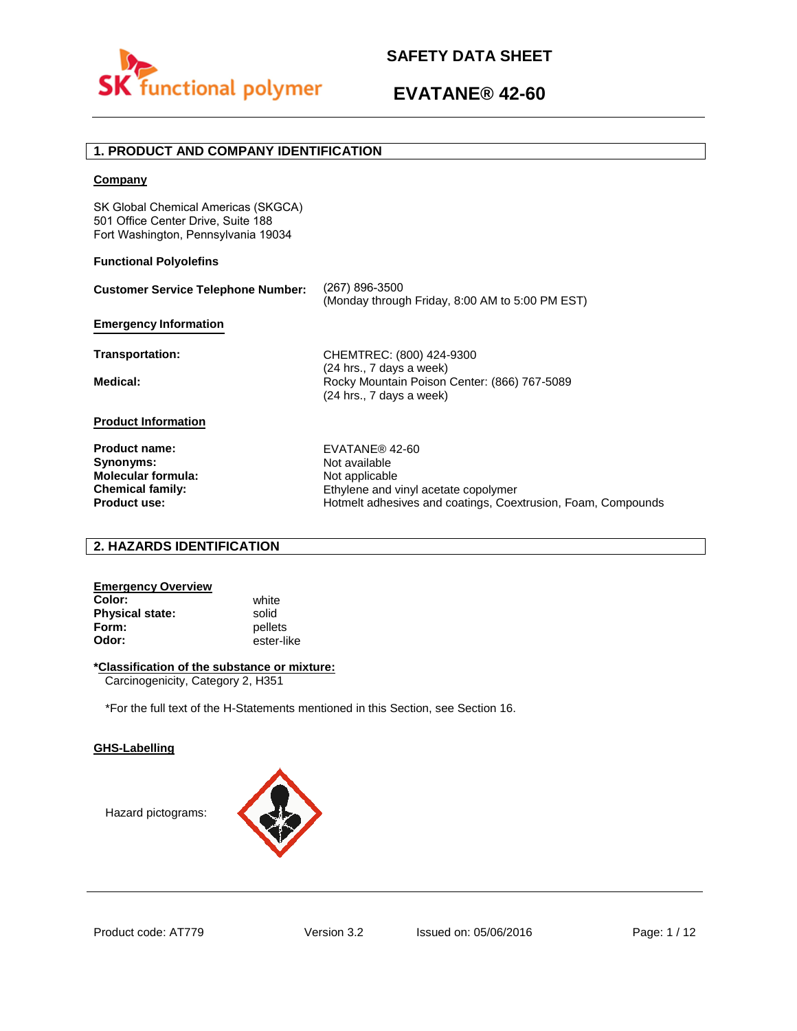

## **1. PRODUCT AND COMPANY IDENTIFICATION**

## **Company**

SK Global Chemical Americas (SKGCA) 501 Office Center Drive, Suite 188 Fort Washington, Pennsylvania 19034

## **Functional Polyolefins**

| <b>Customer Service Telephone Number:</b>                                                                        | (267) 896-3500<br>(Monday through Friday, 8:00 AM to 5:00 PM EST)                                                                                         |
|------------------------------------------------------------------------------------------------------------------|-----------------------------------------------------------------------------------------------------------------------------------------------------------|
| <b>Emergency Information</b>                                                                                     |                                                                                                                                                           |
| Transportation:                                                                                                  | CHEMTREC: (800) 424-9300                                                                                                                                  |
| Medical:                                                                                                         | $(24$ hrs., 7 days a week)<br>Rocky Mountain Poison Center: (866) 767-5089<br>(24 hrs., 7 days a week)                                                    |
| <b>Product Information</b>                                                                                       |                                                                                                                                                           |
| <b>Product name:</b><br>Synonyms:<br><b>Molecular formula:</b><br><b>Chemical family:</b><br><b>Product use:</b> | EVATANE® 42-60<br>Not available<br>Not applicable<br>Ethylene and vinyl acetate copolymer<br>Hotmelt adhesives and coatings, Coextrusion, Foam, Compounds |

## **2. HAZARDS IDENTIFICATION**

## **Emergency Overview Color:** white **Physical state:** solid<br> **Form:** pellet

**Form:** pellets<br> **Odor:** ester-li **Odor:** ester-like

## **\*Classification of the substance or mixture:**

Carcinogenicity, Category 2, H351

\*For the full text of the H-Statements mentioned in this Section, see Section 16.

#### **GHS-Labelling**

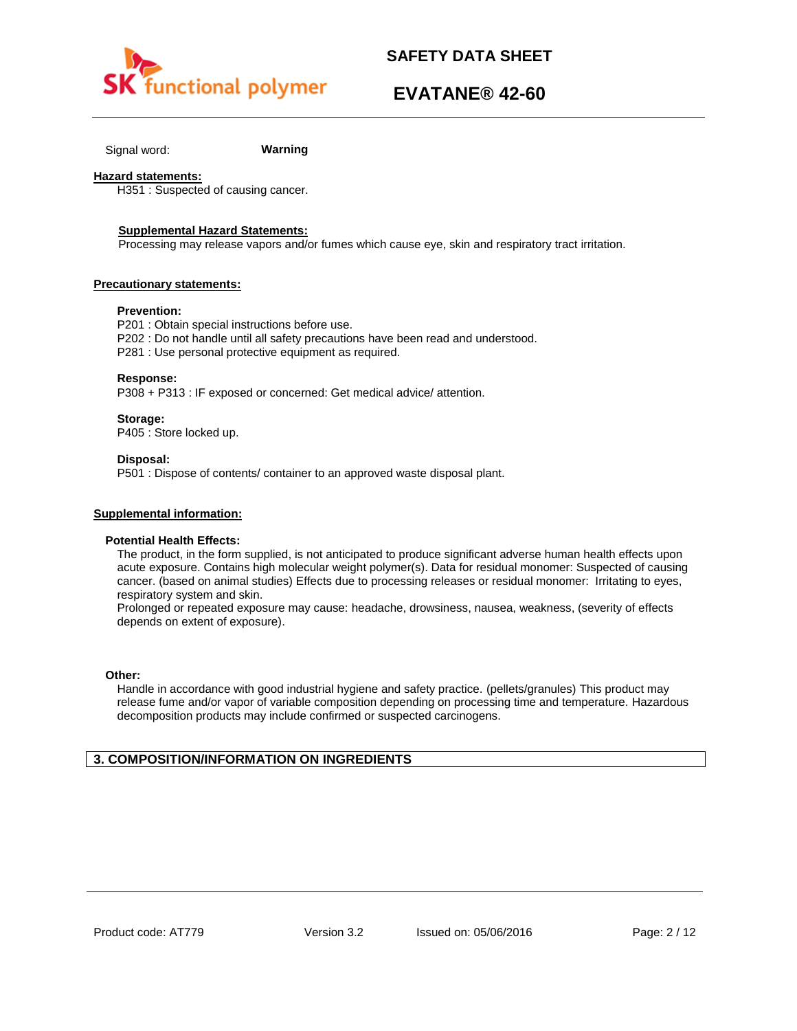

## **EVATANE® 42-60**

Signal word: **Warning**

### **Hazard statements:**

H351 : Suspected of causing cancer.

#### **Supplemental Hazard Statements:**

Processing may release vapors and/or fumes which cause eye, skin and respiratory tract irritation.

#### **Precautionary statements:**

## **Prevention:**

P201 : Obtain special instructions before use. P202 : Do not handle until all safety precautions have been read and understood. P281 : Use personal protective equipment as required.

### **Response:**

P308 + P313 : IF exposed or concerned: Get medical advice/ attention.

#### **Storage:**

P405 : Store locked up.

#### **Disposal:**

P501 : Dispose of contents/ container to an approved waste disposal plant.

## **Supplemental information:**

#### **Potential Health Effects:**

The product, in the form supplied, is not anticipated to produce significant adverse human health effects upon acute exposure. Contains high molecular weight polymer(s). Data for residual monomer: Suspected of causing cancer. (based on animal studies) Effects due to processing releases or residual monomer: Irritating to eyes, respiratory system and skin.

Prolonged or repeated exposure may cause: headache, drowsiness, nausea, weakness, (severity of effects depends on extent of exposure).

#### **Other:**

Handle in accordance with good industrial hygiene and safety practice. (pellets/granules) This product may release fume and/or vapor of variable composition depending on processing time and temperature. Hazardous decomposition products may include confirmed or suspected carcinogens.

## **3. COMPOSITION/INFORMATION ON INGREDIENTS**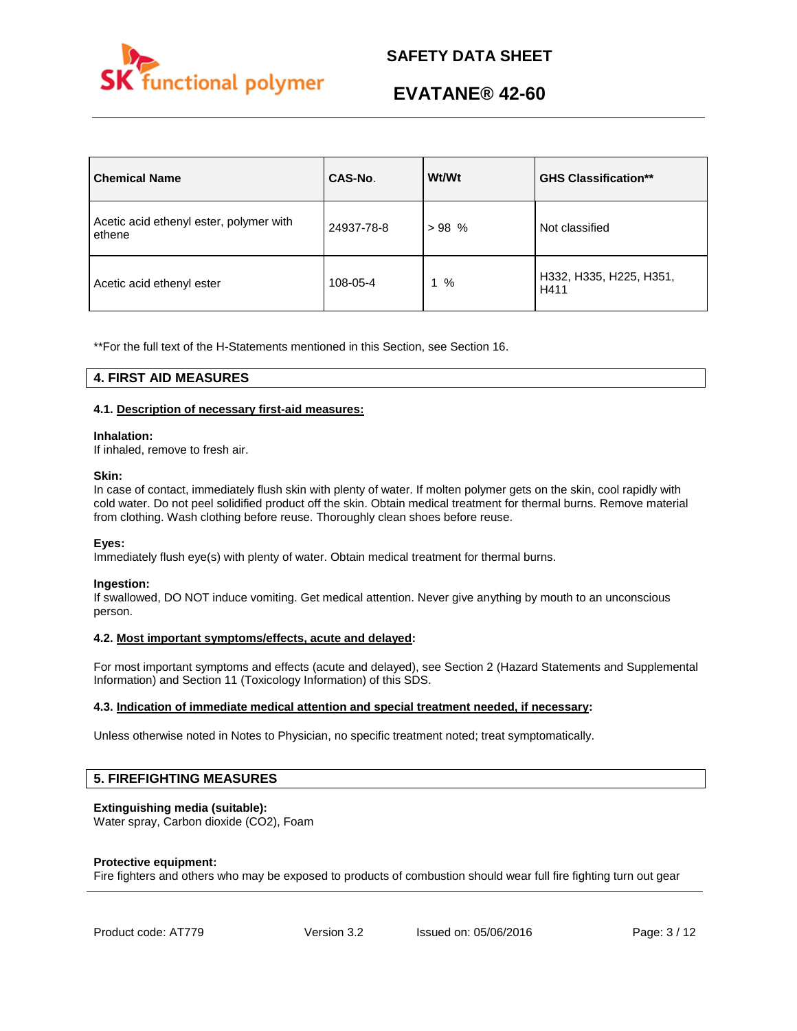

| <b>Chemical Name</b>                              | CAS-No.    | Wt/Wt | <b>GHS Classification**</b>     |
|---------------------------------------------------|------------|-------|---------------------------------|
| Acetic acid ethenyl ester, polymer with<br>ethene | 24937-78-8 | >98%  | Not classified                  |
| Acetic acid ethenyl ester                         | 108-05-4   | %     | H332, H335, H225, H351,<br>H411 |

\*\*For the full text of the H-Statements mentioned in this Section, see Section 16.

## **4. FIRST AID MEASURES**

## **4.1. Description of necessary first-aid measures:**

#### **Inhalation:**

If inhaled, remove to fresh air.

#### **Skin:**

In case of contact, immediately flush skin with plenty of water. If molten polymer gets on the skin, cool rapidly with cold water. Do not peel solidified product off the skin. Obtain medical treatment for thermal burns. Remove material from clothing. Wash clothing before reuse. Thoroughly clean shoes before reuse.

## **Eyes:**

Immediately flush eye(s) with plenty of water. Obtain medical treatment for thermal burns.

## **Ingestion:**

If swallowed, DO NOT induce vomiting. Get medical attention. Never give anything by mouth to an unconscious person.

## **4.2. Most important symptoms/effects, acute and delayed:**

For most important symptoms and effects (acute and delayed), see Section 2 (Hazard Statements and Supplemental Information) and Section 11 (Toxicology Information) of this SDS.

## **4.3. Indication of immediate medical attention and special treatment needed, if necessary:**

Unless otherwise noted in Notes to Physician, no specific treatment noted; treat symptomatically.

## **5. FIREFIGHTING MEASURES**

## **Extinguishing media (suitable):**

Water spray, Carbon dioxide (CO2), Foam

#### **Protective equipment:**

Fire fighters and others who may be exposed to products of combustion should wear full fire fighting turn out gear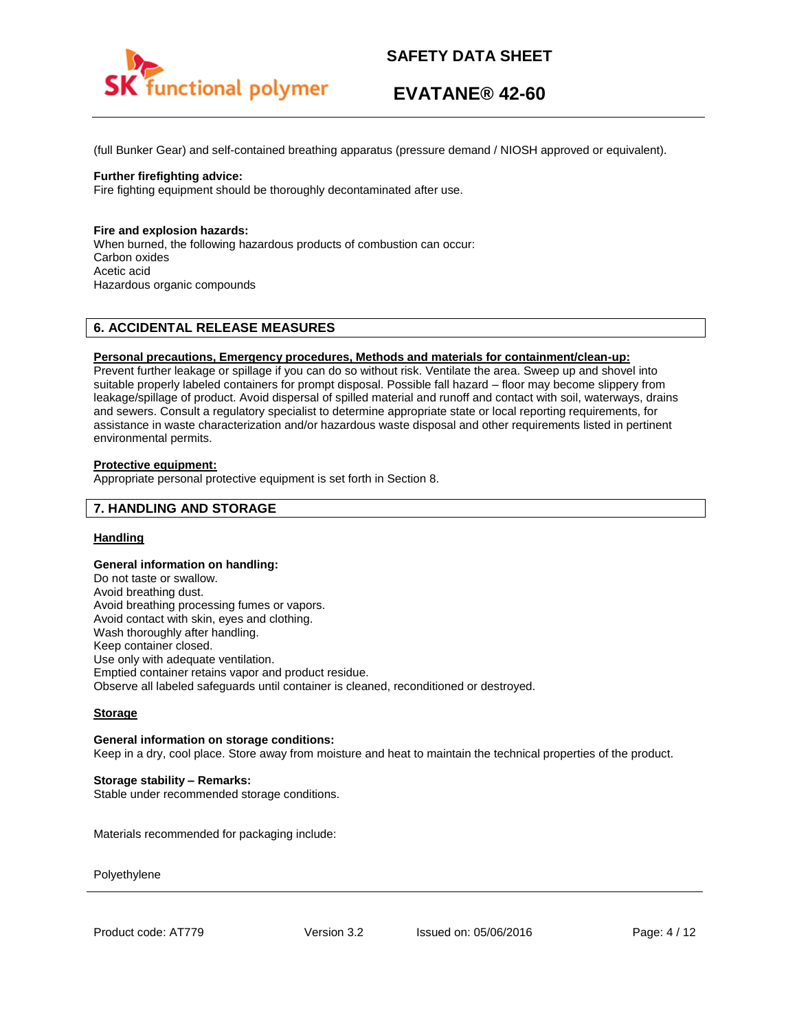

# **EVATANE® 42-60**

(full Bunker Gear) and self-contained breathing apparatus (pressure demand / NIOSH approved or equivalent).

#### **Further firefighting advice:**

Fire fighting equipment should be thoroughly decontaminated after use.

#### **Fire and explosion hazards:**

When burned, the following hazardous products of combustion can occur: Carbon oxides Acetic acid Hazardous organic compounds

## **6. ACCIDENTAL RELEASE MEASURES**

#### **Personal precautions, Emergency procedures, Methods and materials for containment/clean-up:**

Prevent further leakage or spillage if you can do so without risk. Ventilate the area. Sweep up and shovel into suitable properly labeled containers for prompt disposal. Possible fall hazard – floor may become slippery from leakage/spillage of product. Avoid dispersal of spilled material and runoff and contact with soil, waterways, drains and sewers. Consult a regulatory specialist to determine appropriate state or local reporting requirements, for assistance in waste characterization and/or hazardous waste disposal and other requirements listed in pertinent environmental permits.

#### **Protective equipment:**

Appropriate personal protective equipment is set forth in Section 8.

## **7. HANDLING AND STORAGE**

## **Handling**

#### **General information on handling:**

Do not taste or swallow. Avoid breathing dust. Avoid breathing processing fumes or vapors. Avoid contact with skin, eyes and clothing. Wash thoroughly after handling. Keep container closed. Use only with adequate ventilation. Emptied container retains vapor and product residue. Observe all labeled safeguards until container is cleaned, reconditioned or destroyed.

## **Storage**

#### **General information on storage conditions:**

Keep in a dry, cool place. Store away from moisture and heat to maintain the technical properties of the product.

## **Storage stability – Remarks:**

Stable under recommended storage conditions.

Materials recommended for packaging include:

Polyethylene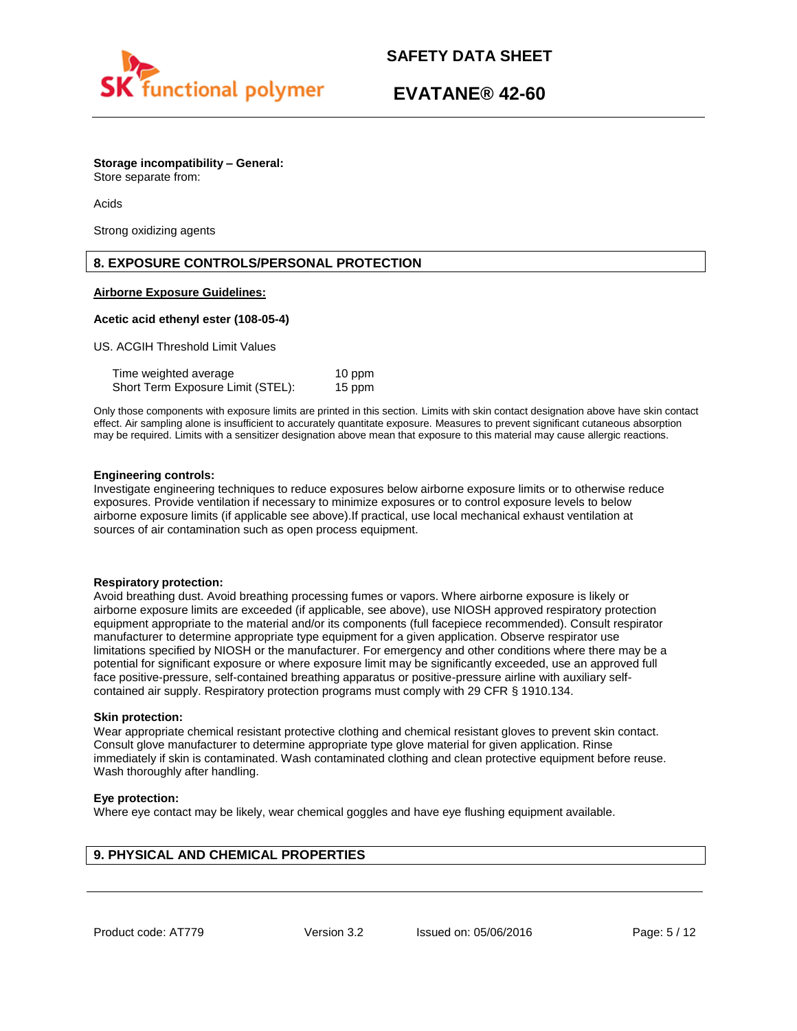

**Storage incompatibility – General:**  Store separate from:

Acids

Strong oxidizing agents

## **8. EXPOSURE CONTROLS/PERSONAL PROTECTION**

## **Airborne Exposure Guidelines:**

## **Acetic acid ethenyl ester (108-05-4)**

US. ACGIH Threshold Limit Values

| Time weighted average             | 10 ppm |
|-----------------------------------|--------|
| Short Term Exposure Limit (STEL): | 15 ppm |

Only those components with exposure limits are printed in this section. Limits with skin contact designation above have skin contact effect. Air sampling alone is insufficient to accurately quantitate exposure. Measures to prevent significant cutaneous absorption may be required. Limits with a sensitizer designation above mean that exposure to this material may cause allergic reactions.

#### **Engineering controls:**

Investigate engineering techniques to reduce exposures below airborne exposure limits or to otherwise reduce exposures. Provide ventilation if necessary to minimize exposures or to control exposure levels to below airborne exposure limits (if applicable see above).If practical, use local mechanical exhaust ventilation at sources of air contamination such as open process equipment.

#### **Respiratory protection:**

Avoid breathing dust. Avoid breathing processing fumes or vapors. Where airborne exposure is likely or airborne exposure limits are exceeded (if applicable, see above), use NIOSH approved respiratory protection equipment appropriate to the material and/or its components (full facepiece recommended). Consult respirator manufacturer to determine appropriate type equipment for a given application. Observe respirator use limitations specified by NIOSH or the manufacturer. For emergency and other conditions where there may be a potential for significant exposure or where exposure limit may be significantly exceeded, use an approved full face positive-pressure, self-contained breathing apparatus or positive-pressure airline with auxiliary selfcontained air supply. Respiratory protection programs must comply with 29 CFR § 1910.134.

#### **Skin protection:**

Wear appropriate chemical resistant protective clothing and chemical resistant gloves to prevent skin contact. Consult glove manufacturer to determine appropriate type glove material for given application. Rinse immediately if skin is contaminated. Wash contaminated clothing and clean protective equipment before reuse. Wash thoroughly after handling.

## **Eye protection:**

Where eye contact may be likely, wear chemical goggles and have eye flushing equipment available.

## **9. PHYSICAL AND CHEMICAL PROPERTIES**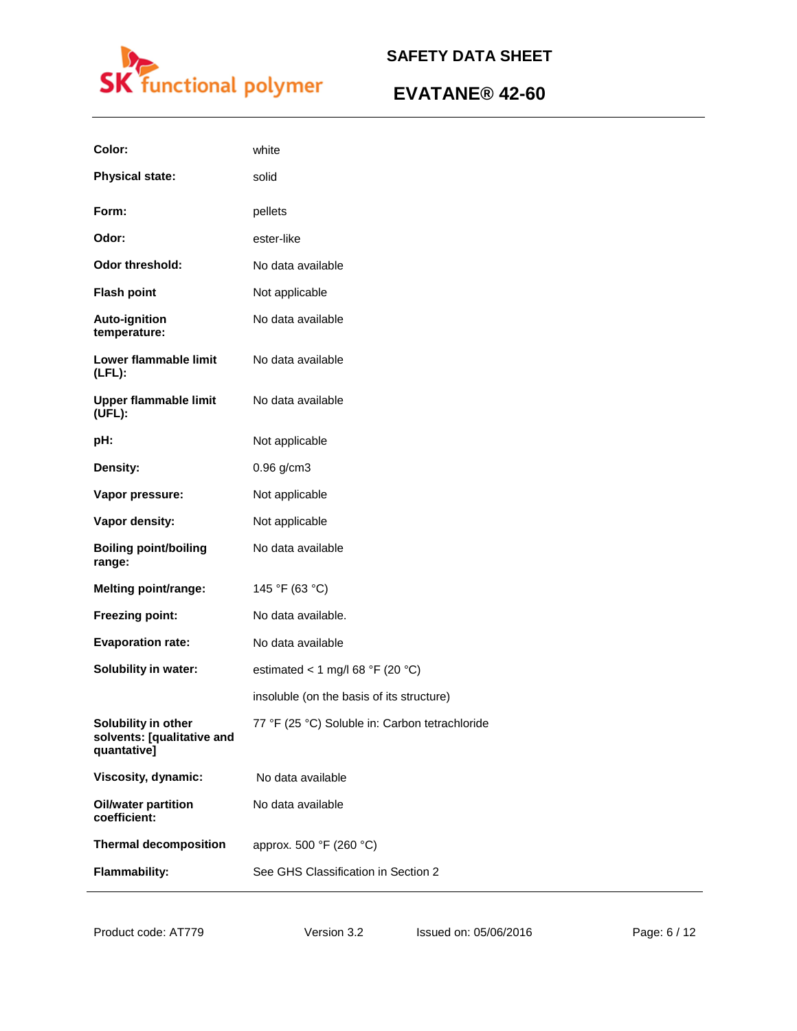

| Color:                                                           | white                                          |
|------------------------------------------------------------------|------------------------------------------------|
| <b>Physical state:</b>                                           | solid                                          |
| Form:                                                            | pellets                                        |
| Odor:                                                            | ester-like                                     |
| <b>Odor threshold:</b>                                           | No data available                              |
| <b>Flash point</b>                                               | Not applicable                                 |
| Auto-ignition<br>temperature:                                    | No data available                              |
| Lower flammable limit<br>$(LFL)$ :                               | No data available                              |
| <b>Upper flammable limit</b><br>(UEL):                           | No data available                              |
| pH:                                                              | Not applicable                                 |
| Density:                                                         | 0.96 g/cm3                                     |
| Vapor pressure:                                                  | Not applicable                                 |
| Vapor density:                                                   | Not applicable                                 |
| <b>Boiling point/boiling</b><br>range:                           | No data available                              |
| <b>Melting point/range:</b>                                      | 145 °F (63 °C)                                 |
| Freezing point:                                                  | No data available.                             |
| <b>Evaporation rate:</b>                                         | No data available                              |
| Solubility in water:                                             | estimated < 1 mg/l 68 °F (20 °C)               |
|                                                                  | insoluble (on the basis of its structure)      |
| Solubility in other<br>solvents: [qualitative and<br>quantative] | 77 °F (25 °C) Soluble in: Carbon tetrachloride |
| Viscosity, dynamic:                                              | No data available                              |
| <b>Oil/water partition</b><br>coefficient:                       | No data available                              |
| <b>Thermal decomposition</b>                                     | approx. 500 °F (260 °C)                        |
| <b>Flammability:</b>                                             | See GHS Classification in Section 2            |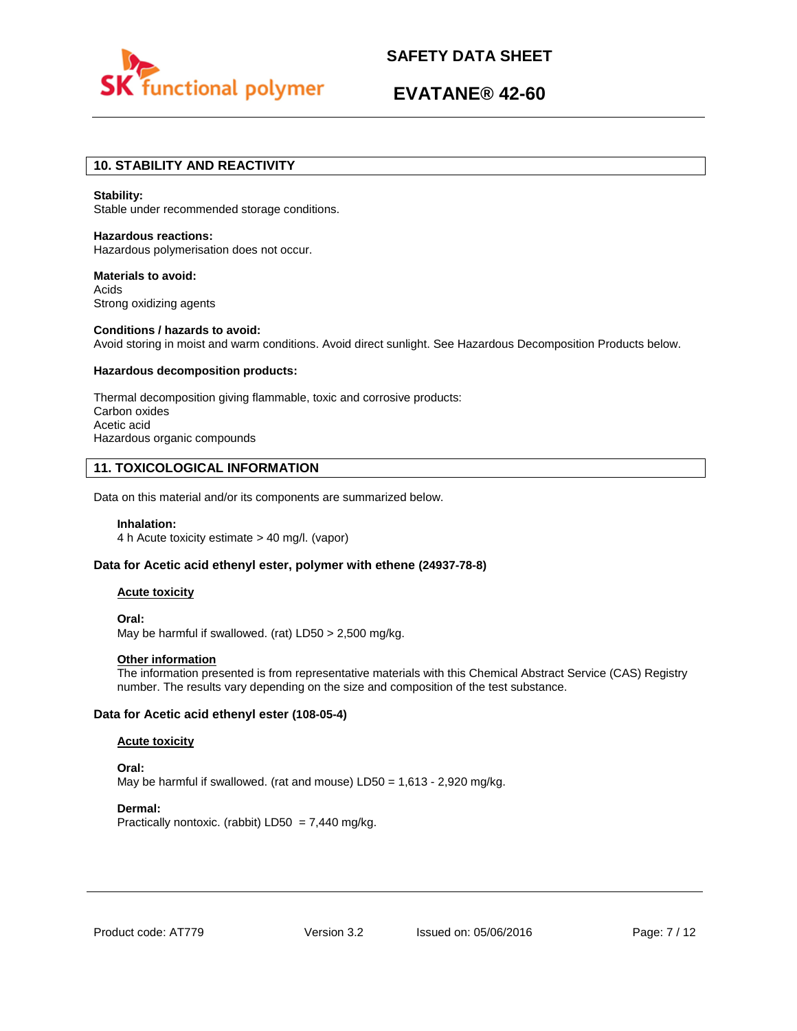

# **EVATANE® 42-60**

## **10. STABILITY AND REACTIVITY**

#### **Stability:**

Stable under recommended storage conditions.

**Hazardous reactions:**  Hazardous polymerisation does not occur.

**Materials to avoid:**  Acids Strong oxidizing agents

## **Conditions / hazards to avoid:**  Avoid storing in moist and warm conditions. Avoid direct sunlight. See Hazardous Decomposition Products below.

#### **Hazardous decomposition products:**

Thermal decomposition giving flammable, toxic and corrosive products: Carbon oxides Acetic acid Hazardous organic compounds

## **11. TOXICOLOGICAL INFORMATION**

Data on this material and/or its components are summarized below.

#### **Inhalation:**

4 h Acute toxicity estimate > 40 mg/l. (vapor)

### **Data for Acetic acid ethenyl ester, polymer with ethene (24937-78-8)**

#### **Acute toxicity**

**Oral:** May be harmful if swallowed. (rat) LD50 > 2,500 mg/kg.

## **Other information**

The information presented is from representative materials with this Chemical Abstract Service (CAS) Registry number. The results vary depending on the size and composition of the test substance.

## **Data for Acetic acid ethenyl ester (108-05-4)**

#### **Acute toxicity**

**Oral:** May be harmful if swallowed. (rat and mouse)  $LD50 = 1.613 - 2.920$  mg/kg.

#### **Dermal:**

Practically nontoxic. (rabbit)  $LD50 = 7,440$  mg/kg.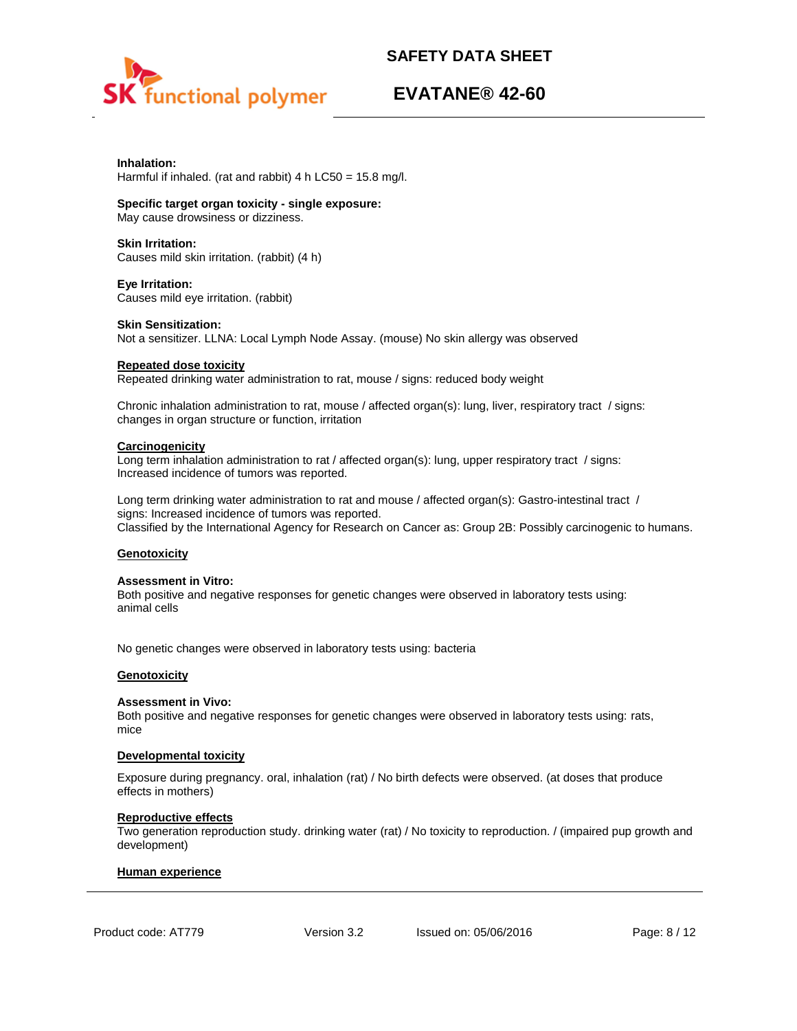

## **EVATANE® 42-60**

# **Inhalation:**

Harmful if inhaled. (rat and rabbit) 4 h LC50 = 15.8 mg/l.

## **Specific target organ toxicity - single exposure:**

May cause drowsiness or dizziness.

## **Skin Irritation:**

Causes mild skin irritation. (rabbit) (4 h)

#### **Eye Irritation:**  Causes mild eye irritation. (rabbit)

#### **Skin Sensitization:**

Not a sensitizer. LLNA: Local Lymph Node Assay. (mouse) No skin allergy was observed

## **Repeated dose toxicity**

Repeated drinking water administration to rat, mouse / signs: reduced body weight

Chronic inhalation administration to rat, mouse / affected organ(s): lung, liver, respiratory tract / signs: changes in organ structure or function, irritation

## **Carcinogenicity**

Long term inhalation administration to rat / affected organ(s): lung, upper respiratory tract / signs: Increased incidence of tumors was reported.

Long term drinking water administration to rat and mouse / affected organ(s): Gastro-intestinal tract / signs: Increased incidence of tumors was reported. Classified by the International Agency for Research on Cancer as: Group 2B: Possibly carcinogenic to humans.

## **Genotoxicity**

## **Assessment in Vitro:**

Both positive and negative responses for genetic changes were observed in laboratory tests using: animal cells

No genetic changes were observed in laboratory tests using: bacteria

## **Genotoxicity**

## **Assessment in Vivo:**

Both positive and negative responses for genetic changes were observed in laboratory tests using: rats, mice

## **Developmental toxicity**

Exposure during pregnancy. oral, inhalation (rat) / No birth defects were observed. (at doses that produce effects in mothers)

## **Reproductive effects**

Two generation reproduction study. drinking water (rat) / No toxicity to reproduction. / (impaired pup growth and development)

#### **Human experience**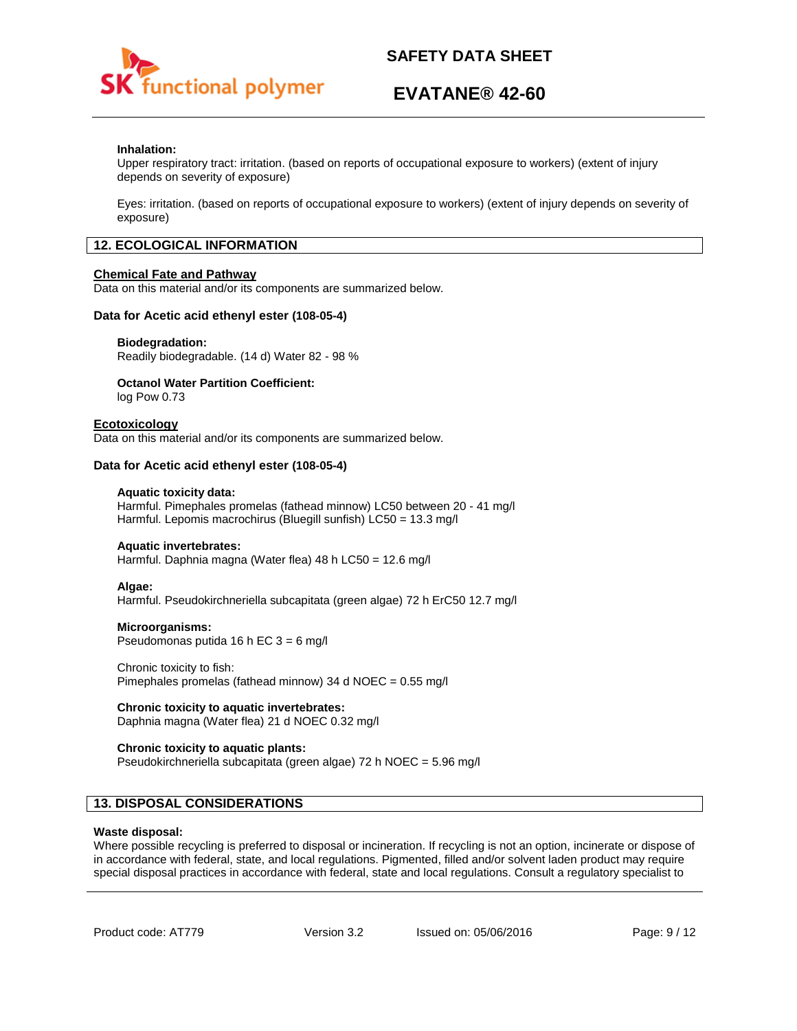

## **EVATANE® 42-60**

## **Inhalation:**

Upper respiratory tract: irritation. (based on reports of occupational exposure to workers) (extent of injury depends on severity of exposure)

Eyes: irritation. (based on reports of occupational exposure to workers) (extent of injury depends on severity of exposure)

## **12. ECOLOGICAL INFORMATION**

#### **Chemical Fate and Pathway**

Data on this material and/or its components are summarized below.

#### **Data for Acetic acid ethenyl ester (108-05-4)**

#### **Biodegradation:**

Readily biodegradable. (14 d) Water 82 - 98 %

## **Octanol Water Partition Coefficient:**

log Pow 0.73

#### **Ecotoxicology**

Data on this material and/or its components are summarized below.

#### **Data for Acetic acid ethenyl ester (108-05-4)**

#### **Aquatic toxicity data:**

Harmful. Pimephales promelas (fathead minnow) LC50 between 20 - 41 mg/l Harmful. Lepomis macrochirus (Bluegill sunfish) LC50 = 13.3 mg/l

#### **Aquatic invertebrates:**

Harmful. Daphnia magna (Water flea) 48 h LC50 = 12.6 mg/l

#### **Algae:**

Harmful. Pseudokirchneriella subcapitata (green algae) 72 h ErC50 12.7 mg/l

#### **Microorganisms:**

Pseudomonas putida 16 h EC 3 = 6 mg/l

#### Chronic toxicity to fish: Pimephales promelas (fathead minnow) 34 d NOEC = 0.55 mg/l

## **Chronic toxicity to aquatic invertebrates:**

Daphnia magna (Water flea) 21 d NOEC 0.32 mg/l

#### **Chronic toxicity to aquatic plants:**

Pseudokirchneriella subcapitata (green algae) 72 h NOEC = 5.96 mg/l

## **13. DISPOSAL CONSIDERATIONS**

#### **Waste disposal:**

Where possible recycling is preferred to disposal or incineration. If recycling is not an option, incinerate or dispose of in accordance with federal, state, and local regulations. Pigmented, filled and/or solvent laden product may require special disposal practices in accordance with federal, state and local regulations. Consult a regulatory specialist to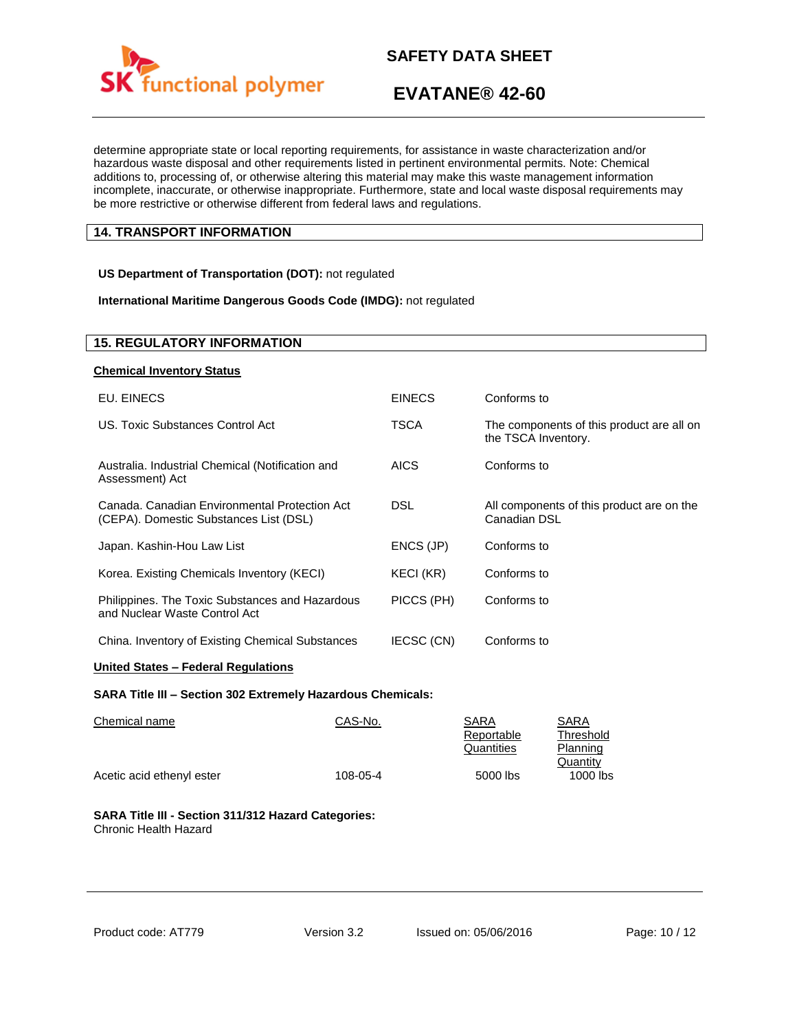

determine appropriate state or local reporting requirements, for assistance in waste characterization and/or hazardous waste disposal and other requirements listed in pertinent environmental permits. Note: Chemical additions to, processing of, or otherwise altering this material may make this waste management information incomplete, inaccurate, or otherwise inappropriate. Furthermore, state and local waste disposal requirements may be more restrictive or otherwise different from federal laws and regulations.

## **14. TRANSPORT INFORMATION**

## **US Department of Transportation (DOT):** not regulated

## **International Maritime Dangerous Goods Code (IMDG):** not regulated

| <b>15. REGULATORY INFORMATION</b>                                                       |               |                                                                  |
|-----------------------------------------------------------------------------------------|---------------|------------------------------------------------------------------|
| <b>Chemical Inventory Status</b>                                                        |               |                                                                  |
| EU. EINECS                                                                              | <b>EINECS</b> | Conforms to                                                      |
| US. Toxic Substances Control Act                                                        | TSCA          | The components of this product are all on<br>the TSCA Inventory. |
| Australia. Industrial Chemical (Notification and<br>Assessment) Act                     | <b>AICS</b>   | Conforms to                                                      |
| Canada, Canadian Environmental Protection Act<br>(CEPA). Domestic Substances List (DSL) | DSL.          | All components of this product are on the<br>Canadian DSL        |
| Japan. Kashin-Hou Law List                                                              | ENCS (JP)     | Conforms to                                                      |
| Korea. Existing Chemicals Inventory (KECI)                                              | KECI (KR)     | Conforms to                                                      |
| Philippines. The Toxic Substances and Hazardous<br>and Nuclear Waste Control Act        | PICCS (PH)    | Conforms to                                                      |
| China. Inventory of Existing Chemical Substances                                        | IECSC (CN)    | Conforms to                                                      |

## **United States – Federal Regulations**

#### **SARA Title III – Section 302 Extremely Hazardous Chemicals:**

| Chemical name             | CAS-No.  | SARA       | SARA      |
|---------------------------|----------|------------|-----------|
|                           |          | Reportable | Threshold |
|                           |          | Quantities | Planning  |
|                           |          |            | Quantity  |
| Acetic acid ethenyl ester | 108-05-4 | 5000 lbs   | 1000 lbs  |

#### **SARA Title III - Section 311/312 Hazard Categories:**  Chronic Health Hazard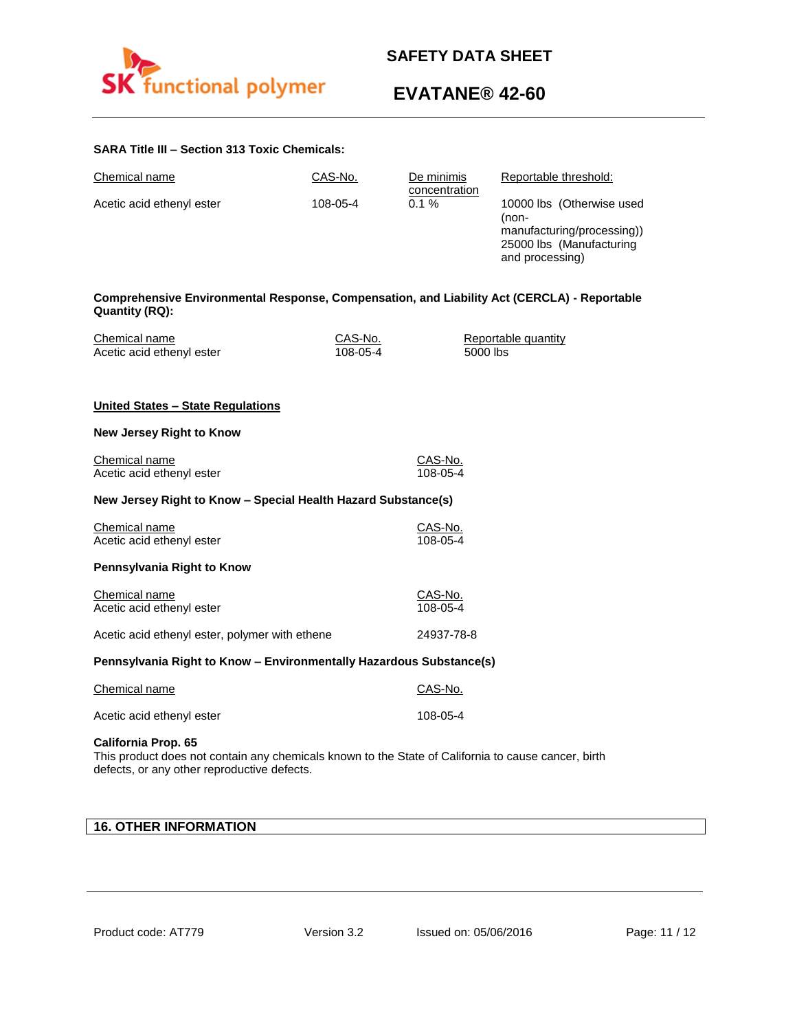

# **EVATANE® 42-60**

## **SARA Title III – Section 313 Toxic Chemicals:**

| Chemical name                                                                                                                                                                    | CAS-No.             | De minimis            | Reportable threshold:                                                                                           |
|----------------------------------------------------------------------------------------------------------------------------------------------------------------------------------|---------------------|-----------------------|-----------------------------------------------------------------------------------------------------------------|
| Acetic acid ethenyl ester                                                                                                                                                        | 108-05-4            | concentration<br>0.1% | 10000 lbs (Otherwise used<br>(non-<br>manufacturing/processing))<br>25000 lbs (Manufacturing<br>and processing) |
| Comprehensive Environmental Response, Compensation, and Liability Act (CERCLA) - Reportable<br><b>Quantity (RQ):</b>                                                             |                     |                       |                                                                                                                 |
| Chemical name<br>Acetic acid ethenyl ester                                                                                                                                       | CAS-No.<br>108-05-4 | 5000 lbs              | Reportable quantity                                                                                             |
| United States - State Regulations                                                                                                                                                |                     |                       |                                                                                                                 |
| New Jersey Right to Know                                                                                                                                                         |                     |                       |                                                                                                                 |
| Chemical name<br>Acetic acid ethenyl ester                                                                                                                                       |                     | CAS-No.<br>108-05-4   |                                                                                                                 |
| New Jersey Right to Know - Special Health Hazard Substance(s)                                                                                                                    |                     |                       |                                                                                                                 |
| Chemical name<br>Acetic acid ethenyl ester                                                                                                                                       |                     | CAS-No.<br>108-05-4   |                                                                                                                 |
| Pennsylvania Right to Know                                                                                                                                                       |                     |                       |                                                                                                                 |
| Chemical name<br>Acetic acid ethenyl ester                                                                                                                                       |                     | CAS-No.<br>108-05-4   |                                                                                                                 |
| Acetic acid ethenyl ester, polymer with ethene                                                                                                                                   |                     | 24937-78-8            |                                                                                                                 |
| Pennsylvania Right to Know - Environmentally Hazardous Substance(s)                                                                                                              |                     |                       |                                                                                                                 |
| Chemical name                                                                                                                                                                    |                     | CAS-No.               |                                                                                                                 |
| Acetic acid ethenyl ester                                                                                                                                                        |                     | 108-05-4              |                                                                                                                 |
| <b>California Prop. 65</b><br>This product does not contain any chemicals known to the State of California to cause cancer, birth<br>defects, or any other reproductive defects. |                     |                       |                                                                                                                 |

## **16. OTHER INFORMATION**